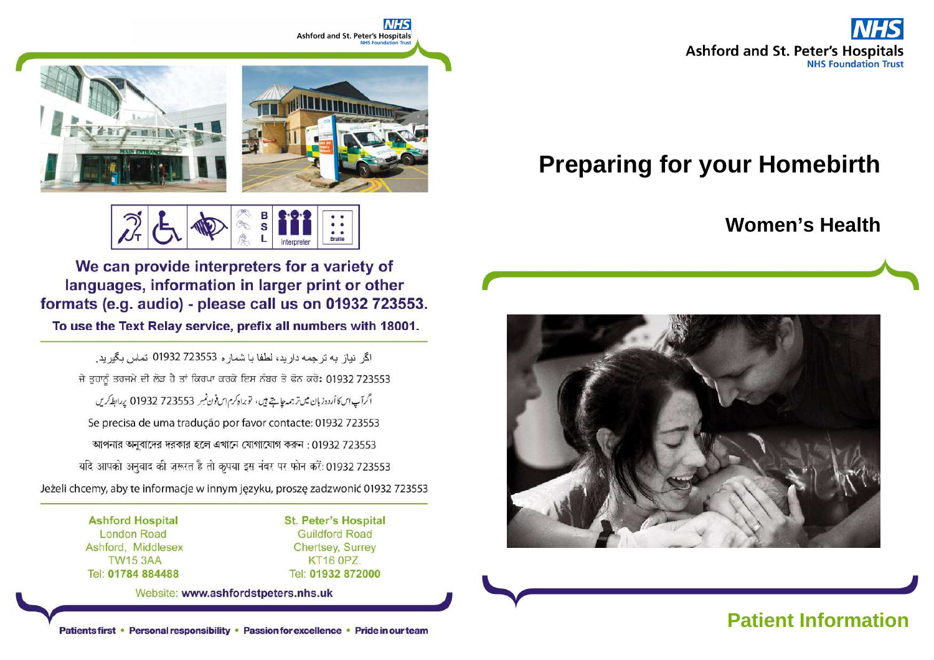

# **Preparing for your Homebirth**

# **Women's Health**





We can provide interpreters for a variety of languages, information in larger print or other formats (e.g. audio) - please call us on 01932 723553.

To use the Text Relay service, prefix all numbers with 18001.

اگر انیاز ایه تر جمه دارید، لطفا یا شمار و 723553 01932 تماس یگیرید. ਜੇ ਤੁਹਾਨੂੰ ਤਰਜਮੇ ਦੀ ਲੋੜ ਹੈ ਤਾਂ ਕਿਰਪਾ ਕਰਕੇ ਇਸ ਨੰਬਰ ਤੇ ਫੋਨ ਕਰੋ: 01932 723553 اگرآپ این کا أردوزبان میں ترجمہ چاہتے ہیں، توبراہ کرم ایں فون نمبر 723553 01932 پر ابطہ کریں Se precisa de uma tradução por favor contacte: 01932 723553 আপনার অনুবাদের দরকার হলে এখানে যোগাযোগ করুন : 01932 723553 यदि आपको अनुवाद की ज़रूरत है तो कृपया इस नंबर पर फोन करें: 01932 723553 Jeżeli chcemy, aby te informacje w innym języku, proszę zadzwonić 01932 723553

> **Ashford Hospital London Road** Ashford, Middlesex **TW15 3AA** Tel: 01784 884488

**St. Peter's Hospital Guildford Road Chertsey, Surrey KT16 0PZ.** Tel: 01932 872000

Website: www.ashfordstpeters.nhs.uk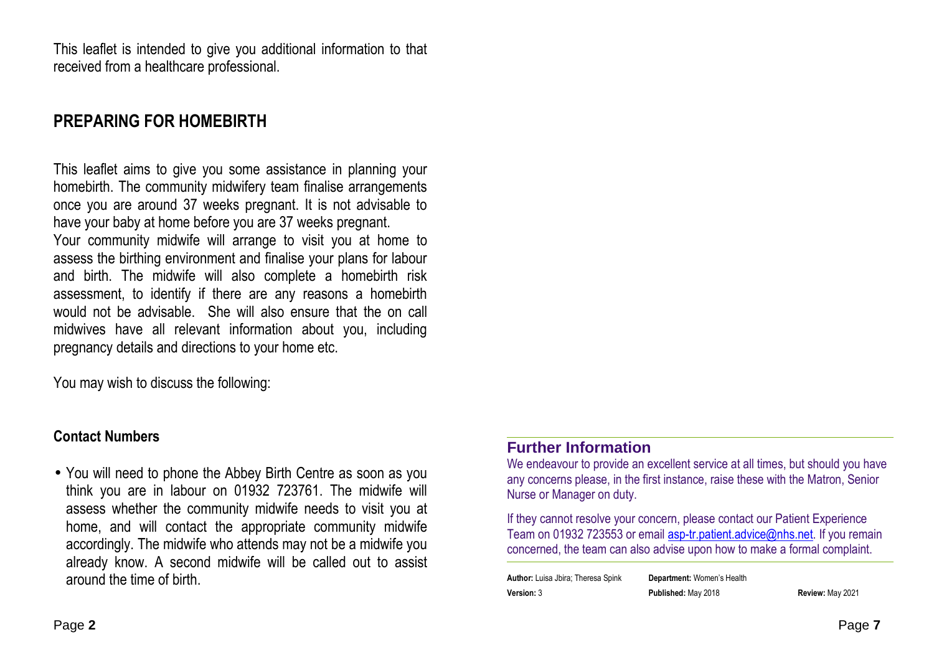This leaflet is intended to give you additional information to that received from a healthcare professional.

# **PREPARING FOR HOMEBIRTH**

This leaflet aims to give you some assistance in planning your homebirth. The community midwifery team finalise arrangements once you are around 37 weeks pregnant. It is not advisable to have your baby at home before you are 37 weeks pregnant. Your community midwife will arrange to visit you at home to assess the birthing environment and finalise your plans for labour and birth. The midwife will also complete a homebirth risk assessment, to identify if there are any reasons a homebirth would not be advisable. She will also ensure that the on call midwives have all relevant information about you, including pregnancy details and directions to your home etc.

You may wish to discuss the following:

#### **Contact Numbers**

• You will need to phone the Abbey Birth Centre as soon as you think you are in labour on 01932 723761. The midwife will assess whether the community midwife needs to visit you at home, and will contact the appropriate community midwife accordingly. The midwife who attends may not be a midwife you already know. A second midwife will be called out to assist around the time of birth.

#### **Further Information**

 We endeavour to provide an excellent service at all times, but should you have any concerns please, in the first instance, raise these with the Matron, Senior Nurse or Manager on duty.

If they cannot resolve your concern, please contact our Patient Experience Team on 01932 723553 or email **asp-tr.patient.advice@nhs.net**. If you remain concerned, the team can also advise upon how to make a formal complaint.

**Author:** Luisa Jbira; Theresa Spink **Department:** Women's Health**Version:** 3 **Published:** May 2018 **Review:** May 2021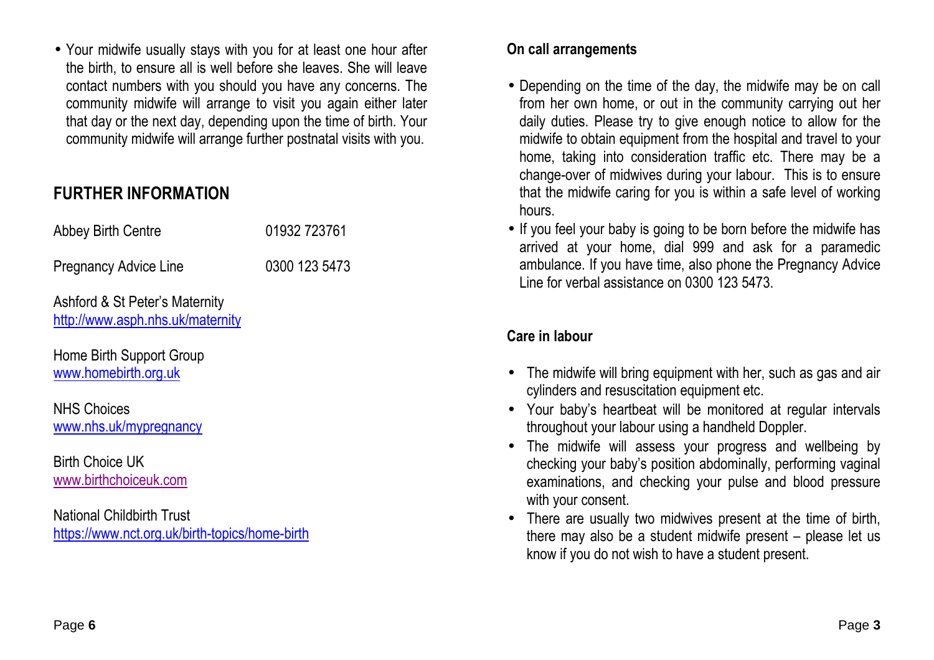• Your midwife usually stays with you for at least one hour after the birth, to ensure all is well before she leaves. She will leave contact numbers with you should you have any concerns. The community midwife will arrange to visit you again either later that day or the next day, depending upon the time of birth. Your community midwife will arrange further postnatal visits with you.

# **FURTHER INFORMATION**

Pregnancy Advice Line 0300 123 5473

Ashford & St Peter's Maternity http://www.asph.nhs.uk/maternity

Home Birth Support Group www.homebirth.org.uk

NHS Choices www.nhs.uk/mypregnancy

Birth Choice UK www.birthchoiceuk.com

National Childbirth Trust https://www.nct.org.uk/birth-topics/home-birth

#### **On call arrangements**

- Depending on the time of the day, the midwife may be on call from her own home, or out in the community carrying out her daily duties. Please try to give enough notice to allow for the midwife to obtain equipment from the hospital and travel to your home, taking into consideration traffic etc. There may be a change-over of midwives during your labour. This is to ensure that the midwife caring for you is within a safe level of working hours.
- If you feel your baby is going to be born before the midwife has arrived at your home, dial 999 and ask for a paramedic ambulance. If you have time, also phone the Pregnancy Advice Line for verbal assistance on 0300 123 5473.

## **Care in labour**

- The midwife will bring equipment with her, such as gas and air cylinders and resuscitation equipment etc.
- Your baby's heartbeat will be monitored at regular intervals throughout your labour using a handheld Doppler.
- The midwife will assess your progress and wellbeing by checking your baby's position abdominally, performing vaginal examinations, and checking your pulse and blood pressure with your consent.
- There are usually two midwives present at the time of birth, there may also be a student midwife present – please let us know if you do not wish to have a student present.